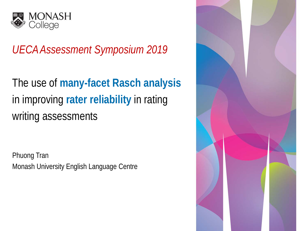

# *UECA Assessment Symposium 2019*

The use of **many-facet Rasch analysis** in improving **rater reliability** in rating writing assessments

Phuong Tran Monash University English Language Centre

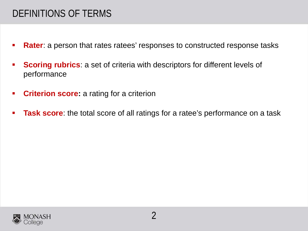## DEFINITIONS OF TERMS

- **Rater**: a person that rates ratees' responses to constructed response tasks
- **Scoring rubrics:** a set of criteria with descriptors for different levels of performance
- **Criterion score:** a rating for a criterion
- **Task score**: the total score of all ratings for a ratee's performance on a task

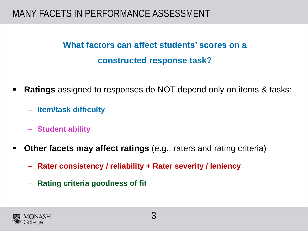## MANY FACETS IN PERFORMANCE ASSESSMENT

**What factors can affect students' scores on a constructed response task?**

- **Ratings** assigned to responses do NOT depend only on items & tasks:
	- **Item/task difficulty**
	- **Student ability**
- **Other facets may affect ratings** (e.g., raters and rating criteria)
	- **Rater consistency / reliability + Rater severity / leniency**
	- **Rating criteria goodness of fit**

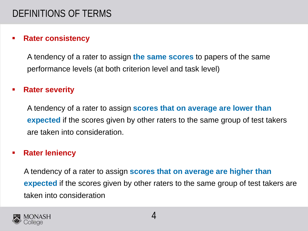### **Rater consistency**

A tendency of a rater to assign **the same scores** to papers of the same performance levels (at both criterion level and task level)

#### **Rater severity**

A tendency of a rater to assign **scores that on average are lower than expected** if the scores given by other raters to the same group of test takers are taken into consideration.

#### **Rater leniency**

A tendency of a rater to assign **scores that on average are higher than expected** if the scores given by other raters to the same group of test takers are taken into consideration

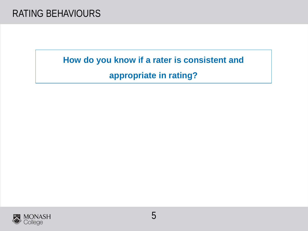**How do you know if a rater is consistent and** 

**appropriate in rating?**

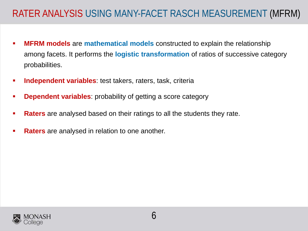## RATER ANALYSIS USING MANY-FACET RASCH MEASUREMENT (MFRM)

- **MFRM models** are **mathematical models** constructed to explain the relationship among facets. It performs the **logistic transformation** of ratios of successive category probabilities.
- **Independent variables**: test takers, raters, task, criteria
- **Dependent variables**: probability of getting a score category
- **Raters** are analysed based on their ratings to all the students they rate.
- **Raters** are analysed in relation to one another.

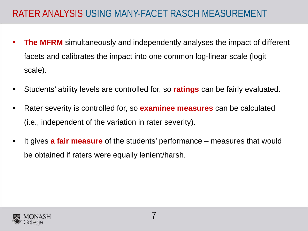## RATER ANALYSIS USING MANY-FACET RASCH MEASUREMENT

- **The MFRM** simultaneously and independently analyses the impact of different facets and calibrates the impact into one common log-linear scale (logit scale).
- Students' ability levels are controlled for, so **ratings** can be fairly evaluated.
- Rater severity is controlled for, so **examinee measures** can be calculated (i.e., independent of the variation in rater severity).
- It gives **a fair measure** of the students' performance measures that would be obtained if raters were equally lenient/harsh.

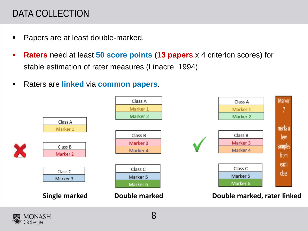# DATA COLLECTION

- Papers are at least double-marked.
- **Raters** need at least **50 score points** (**13 papers** x 4 criterion scores) for stable estimation of rater measures (Linacre, 1994).
- Raters are **linked** via **common papers**.



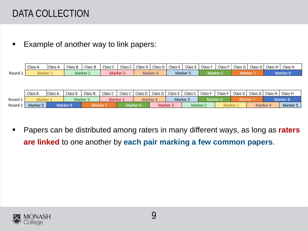## DATA COLLECTION

**Example of another way to link papers:** 

|         | Class A | Class A | Class B | Class B | Class C  |  |          |          | Class C   Class D   Class D   Class E   Class E   Class F   Class F   Class G   Class G   Class H   Class H |  |  |  |
|---------|---------|---------|---------|---------|----------|--|----------|----------|-------------------------------------------------------------------------------------------------------------|--|--|--|
| Round 1 |         |         | Marker  |         | Marker : |  | Marker 4 | Marker F | Marker 6                                                                                                    |  |  |  |

|         | Class A              | Class A | Class B  | Class B  | Class C             | Class C   Class D   Class D   Class E   Class E   Class F |          |                     |          |          |          |         |        | Class F   Class G   Class G   Class H |                     | Class H  |
|---------|----------------------|---------|----------|----------|---------------------|-----------------------------------------------------------|----------|---------------------|----------|----------|----------|---------|--------|---------------------------------------|---------------------|----------|
| Round 1 | <b><i>Aarker</i></b> |         | Marker : |          | Marker <sub>3</sub> |                                                           | Marker 4 |                     | Marker 5 |          | Marker 6 |         | Marker |                                       | Marker <sub>8</sub> |          |
| Round 2 | Marker 5             |         | Marker 8 | Marker i |                     |                                                           | Marker 6 | Marker <sub>3</sub> |          | Marker : |          | Marker. |        | Marker 4                              |                     | Marker 5 |

 Papers can be distributed among raters in many different ways, as long as **raters are linked** to one another by **each pair marking a few common papers**.

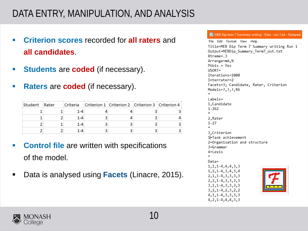## DATA ENTRY, MANIPULATION, AND ANALYSIS

- **Criterion scores** recorded for **all raters** and<br>
Title=MEB Dip Term 7 Summary writing Run 1 **all candidates**.
- **Students** are **coded** (if necessary).
- **Raters** are **coded** (if necessary).

| Student | Rater |         | Criteria Criterion 1 Criterion 2 Criterion 3 Criterion 4 |  |
|---------|-------|---------|----------------------------------------------------------|--|
|         |       | $1 - 4$ |                                                          |  |
|         |       | $1 - 4$ |                                                          |  |
|         |       | $1 - 4$ |                                                          |  |
|         |       | 1-4     |                                                          |  |

- **Control file** are written with specifications of the model.
- Data is analysed using **Facets** (Linacre, 2015).

MEB Dip term 7 Summary writing - Data - run 1.txt - Notepad

Output=MEBDip Summary Term7 out.txt  $X$ treme= $.3$ Arrange=mA, N  $Pthis = Yes$  $USORT =$ Iterations=1000 Interrater=2 Facets=3; Candidate, Rater, Criterion Models=?, ?, ?, R6  $l$ abels= 1, Candidate  $1 - 262$ 2.Rater  $1 - 27$ 3.Criterion 1 Fask achievement 2=Organisation and structure 3=Grammar 4=Lexis  $\Delta \theta$ Data=  $1, 1, 1 - 4, 4, 4, 3, 3$  $1, 2, 1 - 4, 3, 4, 3, 4$  $2, 1, 1 - 4, 3, 3, 3, 3$  $2, 2, 1-4, 3, 3, 3, 3$ 3, 1, 1-4, 3, 3, 3, 3  $3, 2, 1 - 4, 2, 3, 2, 2$  $4, 1, 1 - 4, 3, 3, 3, 3$ 

 $4, 2, 1-4, 4, 4, 3, 3$ 

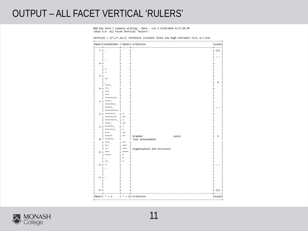### OUTPUT – ALL FACET VERTICAL 'RULERS'

MEB Dip term 7 Summary writing - Data - run 1 4/10/2016 4:37:20 PM Table 6.0 All Facet Vertical "Rulers".

|                       | Measr +Candidate  -Rater -Criterion |      |                            | Scale   |
|-----------------------|-------------------------------------|------|----------------------------|---------|
| $7 + .$               |                                     |      |                            | $+ (5)$ |
|                       |                                     |      |                            |         |
|                       |                                     |      |                            |         |
|                       |                                     |      |                            |         |
| $6+$                  |                                     |      |                            |         |
|                       |                                     |      |                            |         |
|                       |                                     |      |                            |         |
| 54                    |                                     |      |                            |         |
|                       |                                     |      |                            |         |
|                       |                                     |      |                            | 4       |
|                       | ****                                |      |                            |         |
| $4+$                  | **.                                 |      |                            |         |
|                       | ***                                 |      |                            |         |
|                       | ***                                 |      |                            |         |
|                       | ********                            |      |                            |         |
|                       | $3 +***$                            |      |                            |         |
|                       | *******.                            |      |                            |         |
|                       | asses.                              |      |                            |         |
|                       | *********                           |      |                            |         |
|                       | $2 + \dots$<br>********             |      |                            |         |
|                       | *********                           |      |                            |         |
|                       | ****                                |      |                            |         |
| $1 +$                 | ******                              |      |                            |         |
|                       | *******.                            |      |                            |         |
|                       | eee,                                | **   |                            |         |
|                       | *****                               | **   | Grammar<br>Lexis           | з       |
| $a *$                 | ******                              |      | * Task achievement         |         |
|                       | ***.                                | **   |                            |         |
|                       | ** .                                | ***  |                            |         |
|                       | **                                  | ***  | Organisation and structure |         |
| $-1 +$ ***            |                                     | **** |                            |         |
|                       | ****                                |      |                            |         |
|                       | **.                                 |      |                            |         |
| $-2 +$ <sup>*</sup> . |                                     |      |                            |         |
|                       |                                     |      |                            |         |
|                       |                                     |      |                            |         |
|                       |                                     |      |                            |         |
| $-3 + .$              |                                     |      |                            |         |
|                       |                                     |      |                            |         |
|                       |                                     |      |                            |         |
|                       |                                     |      |                            |         |
| $-4+$                 |                                     |      |                            | $+ (1)$ |

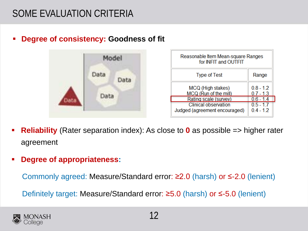## SOME EVALUATION CRITERIA

**Degree of consistency: Goodness of fit**



| Reasonable Item Mean-square Ranges<br>for INFIT and OUTFIT   |                            |
|--------------------------------------------------------------|----------------------------|
| <b>Type of Test</b>                                          | Range                      |
| MCQ (High stakes)<br>MCQ (Run of the mill)                   | $0.8 - 1.2$<br>$0.7 - 1.3$ |
| Rating scale (survey)                                        | $0.6 - 1.4$                |
| <b>Clinical observation</b><br>Judged (agreement encouraged) | $0.5 - 1.7$<br>$0.4 - 1.2$ |

- **Reliability** (Rater separation index): As close to **0** as possible => higher rater agreement
- **Degree of appropriateness:**

Commonly agreed: Measure/Standard error: ≥2.0 (harsh) or ≤-2.0 (lenient)

Definitely target: Measure/Standard error: ≥5.0 (harsh) or ≤-5.0 (lenient)

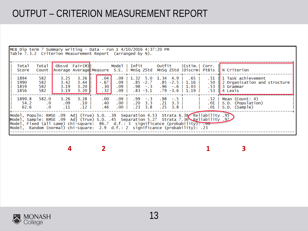## OUTPUT – CRITERION MEASUREMENT REPORT

|                              | MEB Dip term 7 Summary writing - Data - run 1 $4/10/2016$ 4:37:20 PM<br>Table 7.3.2 Criterion Measurement Report (arranged by N).                                                                                                                                                                                                                         |                                                         |                                                  |  |                                |                                               |                                                          |  |                                                            |           |                                                                  |                                             |                                                                                                      |
|------------------------------|-----------------------------------------------------------------------------------------------------------------------------------------------------------------------------------------------------------------------------------------------------------------------------------------------------------------------------------------------------------|---------------------------------------------------------|--------------------------------------------------|--|--------------------------------|-----------------------------------------------|----------------------------------------------------------|--|------------------------------------------------------------|-----------|------------------------------------------------------------------|---------------------------------------------|------------------------------------------------------------------------------------------------------|
| Total<br>Score               | Total                                                                                                                                                                                                                                                                                                                                                     | Obsvd Fair(M)   Model   Infit   Outfit   Estim.   Corr. |                                                  |  |                                |                                               |                                                          |  |                                                            |           |                                                                  |                                             | Count Average Average Measure S.E.   MnSq ZStd MnSq ZStd   Discrm  PtBis   N Criterion               |
| 1894<br>1990<br>1859<br>1856 | 582<br>582<br>582<br>582                                                                                                                                                                                                                                                                                                                                  | 3.25<br>3.42<br>3.19<br>3.19                            | $3.26$ I<br>3.44<br>3.20<br>3.20                 |  | .04<br>$-.67$<br>$.30+$<br>.32 | .09 <sub>1</sub><br>.09 <sub>1</sub>          | $.09$   1.32 5.0 1.34 4.9  <br>$.09$   $.98$ -.3 .96 -.6 |  | $.85 - 2.7$ $.85 - 2.5$                                    |           | . 65 1<br>$1.16$  <br>$1.03$  <br>$.83 - 3.1$ $.79 - 3.6$   1.19 | .53                                         | .51    1 Task achievement<br>.50    2 Organisation and structure<br>Il 3 Grammar<br>$.53$    4 Lexis |
| 1899.8<br>54.2<br>62.6       | 582.0<br>$\overline{\phantom{0}}$ .<br>$\cdot$ 0                                                                                                                                                                                                                                                                                                          | 3.26<br>.09<br>.11                                      | $3.28$  <br>.10 <sub>1</sub><br>.12 <sub>1</sub> |  | $.00 \,$<br>.40<br>. 46        | .09 I<br>.00 <sub>1</sub><br>.00 <sub>1</sub> | $.23 \t3.8$                                              |  | $.99 - 3$ $.98 - 5$<br>$.20 \quad 3.3 \quad .21 \quad 3.3$ | $.25$ 3.8 |                                                                  | .52 <sub>1</sub><br>.01<br>.01 <sub>1</sub> | Mean (Count: 4)<br>S.D. (Population)<br>S.D. (Sample)                                                |
|                              | Model, Populn: RMSE .09 Adj (True) S.D. .39 Separation 4.53 Strata 6.38 Reliability .95<br>Model, Sample: RMSE .09 Adj (True) S.D. .45 Separation 5.27 Strata 7.36 Reliability .97<br>Model, Fixed (all same) chi-square: 86.7 d.f.: 3 significance (probability): $.00$<br>Model, Random (normal) chi-square: 2.9 d.f.: 2 significance (probability): 23 |                                                         |                                                  |  |                                |                                               |                                                          |  |                                                            |           |                                                                  |                                             |                                                                                                      |

**4 2 1 3**

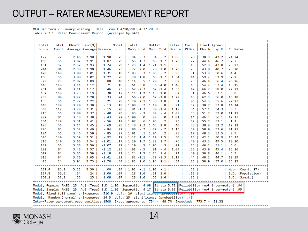### OUTPUT – RATER MEASUREMENT REPORT

MEB Dip term 7 Summary writing - Data - run 1 4/10/2016 4:37:20 PM Table 7.2.1 Rater Measurement Report (arranged by mAN).

|       | Obsvd Fair(M)   Model   Infit<br>Outfit<br>  Estim.   Corr.   Exact Agree.  <br>Total<br>Total<br>Count Average Average Measure S.E.   MnSq ZStd MnSq ZStd   Discrm   PtBis   Obs % Exp %   Nu Rater<br>Score |      |      |               |     |                                                                                                                |                                |       |                      |      |      |                   |  |  |
|-------|---------------------------------------------------------------------------------------------------------------------------------------------------------------------------------------------------------------|------|------|---------------|-----|----------------------------------------------------------------------------------------------------------------|--------------------------------|-------|----------------------|------|------|-------------------|--|--|
|       |                                                                                                                                                                                                               |      |      |               |     |                                                                                                                |                                |       |                      |      |      |                   |  |  |
|       |                                                                                                                                                                                                               |      |      |               |     |                                                                                                                |                                |       |                      |      |      |                   |  |  |
| 177   | 72                                                                                                                                                                                                            | 2.46 | 2.90 | 1.90          | .25 | $.94 - .3$                                                                                                     | $.94 - .2 \mid 1.08$           |       | .20                  | 38.9 | 42.2 | 24 24             |  |  |
| 169   | 56                                                                                                                                                                                                            | 3.02 | 2.91 | 1.87          | .29 | $.65 - 1.7$                                                                                                    | $.63 - 1.7$                    | 1.28  | .27                  | 44.4 | 46.7 | 77                |  |  |
| 131   | 52                                                                                                                                                                                                            | 2.52 | 2.93 | 1.74          | .29 |                                                                                                                | 1.25 1.4 1.21 1.1              | .65   | .13                  | 52.9 | 47.8 | 23 23             |  |  |
| 244   | 84                                                                                                                                                                                                            | 2.90 | 2.98 | 1.46          | .23 | $.72 - 2.0$                                                                                                    | $.70 - 2.0$                    | 1.29  | .23                  | 43.0 | 40.7 | 20 20             |  |  |
| 420   | 140                                                                                                                                                                                                           | 3.00 | 3.01 | 1.31          | .18 | 1.03                                                                                                           | $.3 \quad 1.03$<br>$\cdot$ . 2 | .96   | .31                  | 53.9 | 50.6 | 44                |  |  |
| 168   | 56                                                                                                                                                                                                            | 3.00 | 3.02 | 1.22          | .28 | $.70 - 1.8$                                                                                                    | $.69 - 1.7$                    | 1.34  | .44                  | 59.2 | 52.9 | 2 <sub>2</sub>    |  |  |
| 79    | 28                                                                                                                                                                                                            | 2.82 | 3.09 | .88           | .40 | 1.14<br>.5                                                                                                     | 1.20<br>$\cdot$ .7             | .87   | .23                  | 46.4 | 56.4 | 26 26             |  |  |
| 440   | 140                                                                                                                                                                                                           | 3.14 | 3.12 | .71           | .18 | $.61 - 3.8$                                                                                                    | $.56 - 4.0$                    | 1.40  | .43                  | 54.2 | 53.4 | 15 15             |  |  |
| 261   | 84                                                                                                                                                                                                            | 3.11 | 3.17 | .46           | .23 | $.67 - 2.3$                                                                                                    | $.62 - 2.4$                    | 1.33  | .42                  | 66.7 | 58.0 | 22 22             |  |  |
| 452   | 140                                                                                                                                                                                                           | 3.23 | 3.19 | .38           | .17 |                                                                                                                | 1.14 1.2 1.13 1.0              | .82   | .31                  | 46.6 | 53.1 | 88                |  |  |
| 258   | 80                                                                                                                                                                                                            | 3.22 | 3.20 | .33           | .24 | $.66 - 2.0$                                                                                                    | $.67 - 1.8$                    | 1.27  | .43                  | 62.5 | 56.0 | 18 18             |  |  |
| 155   | 56                                                                                                                                                                                                            | 2.77 | 3.22 | .21           | .28 | 1.40 2.1 1.38                                                                                                  | 1.8                            | .51   | .06                  | 54.5 | 55.6 | 27 27             |  |  |
| 448   | 140                                                                                                                                                                                                           | 3.20 | 3.30 | $-1.13$       | .18 | 1.08                                                                                                           | $.7 \quad 1.10$<br>.8          | .91   | .52                  | 38.7 | 53.8 | 14 14             |  |  |
| 369   | 112                                                                                                                                                                                                           | 3.29 | 3.31 | $-15$         | .20 | $.81 - 1.3$                                                                                                    | $.80 - 1.4$                    | 1.17  | .34                  | 57.1 | 54.3 | 3 <sub>3</sub>    |  |  |
| 213   | 56                                                                                                                                                                                                            | 3.80 | 3.37 | $-.40$        | .28 | $.93 - .2$                                                                                                     | .89<br>$-1.4$                  | 1.08  | .33                  | 51.7 | 57.0 | 11 11             |  |  |
| 292   | 84                                                                                                                                                                                                            | 3.48 | 3.38 | $-0.43$       | .22 | 1.00<br>.0                                                                                                     | .99<br>.0                      | 1.01  | .14                  | 46.4 | 56.1 | 17 17             |  |  |
| 464   | 140                                                                                                                                                                                                           | 3.31 | 3.41 | $-1.56$       | .17 | 1.07<br>.6                                                                                                     | 1.03<br>$\cdot$ 2              | .93   | .42                  | 55.7 | 53.1 | $1\quad1$         |  |  |
| 176   | 56                                                                                                                                                                                                            | 3.14 | 3.45 | $-0.69$       | .28 | 1.48<br>2.3                                                                                                    | 1.65<br>2.8                    | .40   | .58                  | 38.9 | 52.2 | 12 12             |  |  |
| 296   | 84                                                                                                                                                                                                            | 3.52 | 3.49 | $-0.84$       | .22 | $-1.7$<br>.88                                                                                                  | .87<br>$-1.7$                  | 1.13  | .30                  | 50.0 | 53.6 | 21 21             |  |  |
| 194   | 56                                                                                                                                                                                                            | 3.46 | 3.50 | $-0.85$       | .27 | 1.01                                                                                                           | $.1 \quad 1.04$<br>$\cdot$ 2   | .98   | .17                  | 48.5 | 53.5 | 99                |  |  |
| 503   | 140                                                                                                                                                                                                           | 3.59 | 3.51 | $-0.92$       | .17 | 1.4<br>1.17                                                                                                    | 1.19<br>1.5                    | .80   | .16                  | 42.1 | 50.9 | 13 13             |  |  |
| 513   | 140                                                                                                                                                                                                           | 3.66 | 3.54 | $-1.01$       | .17 | $1.20 \quad 1.7 \quad 1.22$                                                                                    | 1.7                            | .76   | .40                  | 43.5 | 49.5 | 10 10             |  |  |
| 189   | 56                                                                                                                                                                                                            | 3.38 | 3.56 | $-1.07$       | .27 | .5<br>1.10                                                                                                     | 1.05<br>$\cdot$ 3              | .92   | .25                  | 46.1 | 51.1 | 6 6               |  |  |
| 292   | 84                                                                                                                                                                                                            | 3.48 | 3.57 | $-1.12$       | .23 | $-15$<br>.91                                                                                                   | .91<br>$-1.4$                  | 1.09  | .38                  | 43.0 | 45.4 | 16 16             |  |  |
| 307   | 84                                                                                                                                                                                                            | 3.65 | 3.59 | $-1.18$       | .22 |                                                                                                                | 1.24 1.5 1.24 1.4              | .74   | .40                  | 39.8 | 46.1 | 5 <sub>5</sub>    |  |  |
| 316   | 84                                                                                                                                                                                                            | 3.76 | 3.65 | $-1.41$       | .22 | $.82 - 1.1$                                                                                                    | $.79 - 1.3$                    | 1.19  | .44                  | 40.2 | 44.7 | 19 19             |  |  |
| 73    | 24                                                                                                                                                                                                            | 3.04 | 3.73 | $-1.70$       |     | $.44$   1.82 2.0 1.94 2.1                                                                                      |                                | $.34$ | .28                  | 50.0 | 57.0 | 25 25             |  |  |
| 281.4 | 86.2                                                                                                                                                                                                          | 3.22 | 3.30 | ------<br>.00 |     | $.24$   1.02 - 1 1.02 - 1                                                                                      |                                |       | ----+-------+<br>.32 |      |      | Mean (Count: 27)  |  |  |
| 127.8 | 36.5                                                                                                                                                                                                          | .34  | .24  | 1.06          | .07 | $.28$ 1.6                                                                                                      | $.31 \quad 1.6$                |       | $.13 -$              |      |      | S.D. (Population) |  |  |
| 130.2 | 37.2                                                                                                                                                                                                          | .35  | .25  | 1.08          |     | $.07$   $.28$ 1.6                                                                                              | $.32 \quad 1.6$                |       | .13 <sub>1</sub>     |      |      | S.D. (Sample)     |  |  |
|       |                                                                                                                                                                                                               |      |      |               |     |                                                                                                                |                                |       |                      |      |      |                   |  |  |
|       |                                                                                                                                                                                                               |      |      |               |     | Model, Populn: RMSE .25 Adj (True) S.D. 1.03 Separation 4.08 Strata 5.78 Reliability (not inter-rater) .94     |                                |       |                      |      |      |                   |  |  |
|       |                                                                                                                                                                                                               |      |      |               |     | 95. Model, Sample: RMSE .25 Adj (True) S.D. 1.05 Separation 4.17 Strata 5.89 Reliability (not inter-rater) .95 |                                |       |                      |      |      |                   |  |  |
|       | Model, Fixed (all same) chi-square: 510.9 d.f.: 26 significance (propapiilty): 00                                                                                                                             |      |      |               |     |                                                                                                                |                                |       |                      |      |      |                   |  |  |
|       | Model, Random (normal) chi-square: 24.5 d.f.: 25 significance (probability): .49<br>Inter-Rater agreement opportunities: 1508 Exact agreements: 734 = 48.7% Expected: 773.7 = 51.3%                           |      |      |               |     |                                                                                                                |                                |       |                      |      |      |                   |  |  |
|       |                                                                                                                                                                                                               |      |      |               |     |                                                                                                                |                                |       |                      |      |      |                   |  |  |

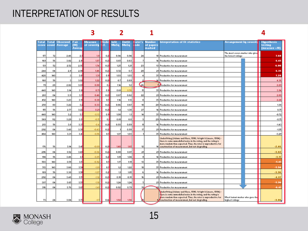### INTERPRETATION OF RESULTS

| Total<br>score | 'ota<br><b>count</b> | Observed<br><b>Average</b> | Fair<br>(M)<br><b>Averag</b> | Measure<br>of severity | dode<br>١E. | Infit<br>MnSq | <b>Outfit</b><br><b>MnSq</b> | later's<br>ode | Number<br>of papers<br>marked                                                                                                                                                                                                                                                                                  | <b>Interpretation of fit statistics</b>                                                                                                                                                                                                                  | Arrangement by severiti                                | Hupothesis<br>testing<br>(measure =/0) |
|----------------|----------------------|----------------------------|------------------------------|------------------------|-------------|---------------|------------------------------|----------------|----------------------------------------------------------------------------------------------------------------------------------------------------------------------------------------------------------------------------------------------------------------------------------------------------------------|----------------------------------------------------------------------------------------------------------------------------------------------------------------------------------------------------------------------------------------------------------|--------------------------------------------------------|----------------------------------------|
| 177            | 72                   | 2.46                       | 2.                           | 1.3                    | 0.2         | 0.34          | 0.94                         | 24             |                                                                                                                                                                                                                                                                                                                | 18 Productive for measurement                                                                                                                                                                                                                            | The most severe marker who give <mark>:</mark><br>7.60 |                                        |
| 169            | 56                   | 3.02                       | 2.3                          | 1.87                   | 0.25        | 0.65          | 0.63                         | -7             |                                                                                                                                                                                                                                                                                                                | 14 Productive for measurement                                                                                                                                                                                                                            |                                                        | 6.45                                   |
| 131            | 52                   | 2.52                       | 2.33                         | 1.74                   | 0.25        | 1.25          | 1.21                         | 23             |                                                                                                                                                                                                                                                                                                                | 13 Productive for measurement                                                                                                                                                                                                                            |                                                        | 6.00                                   |
| 244            | 84                   | 2.3                        | 2.38                         | 1.46                   | 0.21        | 0.72          | 0.7                          | 20             |                                                                                                                                                                                                                                                                                                                | 21 Productive for measurement                                                                                                                                                                                                                            |                                                        | 6.35                                   |
| 420            | 140                  | 3                          | 3.01                         | 1.31                   | 0.1         | 1.03          | 1.03                         | 4              |                                                                                                                                                                                                                                                                                                                | 35 Productive for measurement                                                                                                                                                                                                                            |                                                        | 7.28                                   |
| 168            | 56                   | 3                          | 3.02                         | 1.22                   | 0.25        | 0.7           | 0.69                         | ×.             |                                                                                                                                                                                                                                                                                                                | 14 Productive for measurement                                                                                                                                                                                                                            |                                                        | 4.36                                   |
| 79             | 28                   | 2.82                       | 3.05                         | 0.88                   | 0.          | 1.14          | 1.2                          | 26             |                                                                                                                                                                                                                                                                                                                | 7 Productive for measurement                                                                                                                                                                                                                             |                                                        | 2.20                                   |
| 440            | 140                  | 3.14                       | 3.12                         | 0.71                   | 0.1         | 0.61          | 0.56                         | 15             |                                                                                                                                                                                                                                                                                                                | 35 Productive for measurement                                                                                                                                                                                                                            |                                                        | 3.94                                   |
| 261            | 84                   | 3.11                       | 3.1                          | 0.46                   | 0.25        | 0.67          | 0.62                         | 22             |                                                                                                                                                                                                                                                                                                                | 21 Productive for measurement                                                                                                                                                                                                                            |                                                        | 2.00                                   |
| 452            | 140                  | 3.23                       | 3.15                         | 0.38                   | 0.1         | 1.14          | 1.13                         | 8              |                                                                                                                                                                                                                                                                                                                | 35 Productive for measurement                                                                                                                                                                                                                            |                                                        | 2.24                                   |
| 258            | 80                   | 3.22                       | 3.3                          | 0.33                   | 0.2         | 0.66          | 0.67                         | 18             |                                                                                                                                                                                                                                                                                                                | 20 Productive for measurement                                                                                                                                                                                                                            |                                                        | 1.38                                   |
| 155            | 56                   | 2.77                       | 3.22                         | 0.21                   | 0.25        | 1.4           | 1.38                         | 27             |                                                                                                                                                                                                                                                                                                                | 14 Productive for measurement                                                                                                                                                                                                                            |                                                        | 0.75                                   |
| 448            | 140                  | 3.2                        | 3.3                          | $-0.13$                | 0.15        | 1.08          | 1.1                          | 14             |                                                                                                                                                                                                                                                                                                                | 35 Productive for measurement                                                                                                                                                                                                                            |                                                        | $-0.72$                                |
| 369            | 112                  | 3.29                       | 3.3                          | $-0.15$                | 0.5         | 0.81          | 0.8                          | 3              |                                                                                                                                                                                                                                                                                                                | 29 Productive for measurement                                                                                                                                                                                                                            |                                                        | $-0.75$                                |
| 213            | 56                   | 3.8                        | 3.31                         | $-0.4$                 | 0.25        | 0.93          | 0.89                         | 11             |                                                                                                                                                                                                                                                                                                                | 14 Productive for measurement                                                                                                                                                                                                                            |                                                        | $-1.43$                                |
| 232            | 84                   | 3.48                       | 3.38                         | $-0.43$                | 0.21        |               | 0.33                         | 17             |                                                                                                                                                                                                                                                                                                                | 21 Productive for measurement                                                                                                                                                                                                                            |                                                        | $-1.35$                                |
| 464            | 140                  | 3.31                       | 3.41                         | $-0.56$                | 0.1         | 1.07          | 1.03                         |                |                                                                                                                                                                                                                                                                                                                | 35 Productive for measurement                                                                                                                                                                                                                            |                                                        | $-3.29$                                |
| 176            | 56                   | 3.14                       | 3.41                         | $-0.63$                | 0.25        | 1.48          | 1.65                         | 12             |                                                                                                                                                                                                                                                                                                                | Underfitting (Adams and Khoo, 1996; Wright & Linacre, 1994) -<br>there is some unmodelled noise in the rating, and the rating is<br>more random than expected. Thus, the rater is unproductive for<br>14 construction of measurement, but not degrading. |                                                        | $-2.46$                                |
| 296            | 84                   | 3.52                       | 3.43                         | $-0.84$                | 0.21        | 0.88          | 0.87                         | 21             |                                                                                                                                                                                                                                                                                                                | 21 Productive for measurement                                                                                                                                                                                                                            |                                                        | $-3.82$                                |
| 194            | 56                   | 3.46                       | 3.5                          | $-0.85$                | 0.2         | 1.01          | 1.04                         | э              |                                                                                                                                                                                                                                                                                                                | 14 Productive for measurement                                                                                                                                                                                                                            |                                                        | $-3.15$                                |
| 503            | 140                  | 3.59                       | 3.5                          | $-0.92$                | 0.1         | 1.17          | 1.19                         | 13             |                                                                                                                                                                                                                                                                                                                | 35 Productive for measurement                                                                                                                                                                                                                            |                                                        | $-5.41$                                |
| 513            | 140                  | 3.66                       | 3.54                         | $-1.01$                | 0.1         | 1.2           | 1.22                         | 10             |                                                                                                                                                                                                                                                                                                                | 35 Productive for measurement                                                                                                                                                                                                                            |                                                        | $-5.94$                                |
| 189            | 56                   | 3.38                       | 3.56                         | $-1.07$                | 0.2         | 1.1           | 1.05                         | 6              |                                                                                                                                                                                                                                                                                                                | 14 Productive for measurement                                                                                                                                                                                                                            |                                                        | $-3.36$                                |
| 232            | 84                   | 3.48                       | 3.51                         | $-1.12$                | 0.25        | 0.31          | 0.91                         | 16             |                                                                                                                                                                                                                                                                                                                | 21 Productive for measurement                                                                                                                                                                                                                            |                                                        | $-4.87$                                |
| 307            | 84                   | 3.65                       | 3.53                         | $-1.18$                | 0.21        | 1.24          | 1.24                         | 5              |                                                                                                                                                                                                                                                                                                                | 21 Productive for measurement                                                                                                                                                                                                                            |                                                        | $-5.36$                                |
| 316            | 84                   | 3.76                       | 3.6!                         | $-1.41$                | 0.21        | 0.82          | 0.79                         | 13             |                                                                                                                                                                                                                                                                                                                | <b>21</b> Productive for measurement                                                                                                                                                                                                                     |                                                        | $-6.41$                                |
| 73             | 24                   | 3.04                       | 3.73                         | $-1.7$                 | 0.41        | 1.82          | 1.94                         |                | Underfitting (Adams and Khoo, 1996; Wright & Linacre, 1994) -<br>there is some unmodelled noise in the rating, and the rating is<br>nore random than expected. Thus, the rater is unproductive for<br>Most lenient marker who gave the<br>6 construction of measurement, but not degrading.<br>highest ratings |                                                                                                                                                                                                                                                          | $-3.86$                                                |                                        |

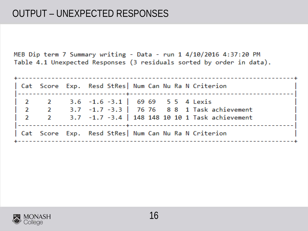MEB Dip term 7 Summary writing - Data - run 1 4/10/2016 4:37:20 PM Table 4.1 Unexpected Responses (3 residuals sorted by order in data).

|  |                                    | Cat Score Exp. Resd StRes  Num Can Nu Ra N Criterion |  |  |                                                                                        |  |
|--|------------------------------------|------------------------------------------------------|--|--|----------------------------------------------------------------------------------------|--|
|  |                                    | 2 2 3.6 -1.6 -3.1   69 69 5 5 4 Lexis                |  |  | $\begin{vmatrix} 2 & 2 & 3.7 & -1.7 & -3.3 \end{vmatrix}$ 76 76 8 8 1 Task achievement |  |
|  | $\begin{array}{ccc} \end{array}$ 2 |                                                      |  |  | 3.7 -1.7 -3.4   148 148 10 10 1 Task achievement                                       |  |
|  |                                    | Cat Score Exp. Resd StRes  Num Can Nu Ra N Criterion |  |  |                                                                                        |  |

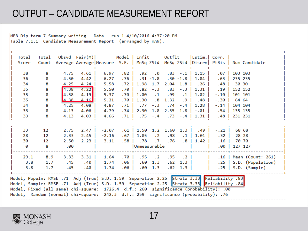## OUTPUT – CANDIDATE MEASUREMENT REPORT

MEB Dip term 7 Summary writing - Data - run 1 4/10/2016 4:37:20 PM Table 7.1.1 Candidate Measurement Report (arranged by mAN).

| Total                                                                                    | Total |      | $Obsvd$ Fair $(M)$ |         | Model   Infit |              |             | Outfit                |                 | $ \textsf{Estim.} \textsf{Corr. } $ |         |         |                                                                                     |
|------------------------------------------------------------------------------------------|-------|------|--------------------|---------|---------------|--------------|-------------|-----------------------|-----------------|-------------------------------------|---------|---------|-------------------------------------------------------------------------------------|
| Score                                                                                    | Count |      |                    |         |               |              |             |                       |                 |                                     |         |         | Average Average Measure S.E.   MnSq ZStd MnSq ZStd   Discrm   PtBis   Num Candidate |
|                                                                                          |       |      |                    |         |               |              |             |                       |                 |                                     |         |         |                                                                                     |
| 38                                                                                       | 8     | 4.75 | 4.61               | 6.97    | .82           | .92          | .0          |                       |                 | $.83 - .1$   1.15                   | .07     | 103 103 |                                                                                     |
| 36                                                                                       | 8     | 4.50 | 4.42               | 6.27    | .76           |              | $.31 - 1.8$ |                       | $.30 - 1.8$     | 1.84                                | .63     | 235 235 |                                                                                     |
| 34                                                                                       | 8     | 4.25 | 4.24               | 5.58    | .72           | 1.98         | 1.7         | 2.04                  | 1.8             | $-0.26$                             | $-0.48$ | 30 30   |                                                                                     |
| 35                                                                                       | 8     | 4.38 | 4.22               | 5.50    | .70           | .82          | $-1.3$      | .83                   | $-1.3$          | 1.31                                | . 19    | 152 152 |                                                                                     |
| 35                                                                                       | 8     | 4.38 | 4.19               | 5.37    | .70           | 1.00         | $\cdot$ 1   | .99                   | $\cdot$ 1       | 1.02                                | $-.10$  | 101 101 |                                                                                     |
| 35                                                                                       | 8     | 4.38 | 4.16               | 5.21    | .70           | 1.30         | $\cdot$ 8   | 1.32                  | .9              | .48                                 | $-1.30$ | 64 64   |                                                                                     |
| 34                                                                                       | 8     | 4.25 | 4.08               | 4.87    | .71           | .77          | $-1.3$      | .74                   | $-0.4$          | 1.28                                | $-14$   | 104 104 |                                                                                     |
| 33                                                                                       | 8     | 4.13 | 4.06               | 4.79    | .74           | 2.30         | 1.8         | 2.35                  | 1.8             | $-0.01$                             | .54     | 135 135 |                                                                                     |
| 33                                                                                       | 8     | 4.13 | 4.03               | 4.66    | . 71          |              | $.75 - .4$  |                       | $.73 - .4$      | 1.31                                | .48     | 231 231 |                                                                                     |
|                                                                                          |       |      |                    |         |               |              |             |                       |                 |                                     |         |         |                                                                                     |
|                                                                                          |       |      |                    |         |               |              |             |                       |                 |                                     |         |         |                                                                                     |
| 33                                                                                       | 12    | 2.75 | 2.47               | $-2.07$ | .61           |              |             | 1.50 1.2 1.60 1.3     |                 | .49                                 | $-.21$  | 68 68   |                                                                                     |
| 28                                                                                       | 12    | 2.33 | 2.45               | $-2.16$ | .67           | 1.05         | $\cdot$ 2   | .98                   | $\cdot$ 1       | 1.01                                | .32     | 28 28   |                                                                                     |
| 30                                                                                       | 12    | 2.50 | 2.23               | $-3.11$ | .58           |              | $.78 - .7$  |                       |                 | $.76 - .8$   1.42                   | .16     | 70 70   |                                                                                     |
| 0                                                                                        | 8     | .00  |                    |         |               | Unmeasurable |             |                       |                 |                                     | .00     | 127 127 |                                                                                     |
|                                                                                          |       |      |                    |         |               |              |             |                       |                 |                                     |         |         |                                                                                     |
| 29.1                                                                                     | 8.9   | 3.33 | $3.31$             | 1.64    | .70           |              |             | $.95 - .2$ $.95 - .2$ |                 |                                     |         |         | .16   Mean (Count: 261)                                                             |
| 3.8                                                                                      | 1.7   | .45  | .40                | 1.74    | .06           | .60          | 1.3         |                       | $.62 \quad 1.3$ |                                     |         |         | $.25$   S.D. (Population)                                                           |
| 3.8                                                                                      | 1.7   | .45  | .40                | 1.74    | .06           | .60          | 1.3         |                       | $.62 \quad 1.3$ |                                     |         |         | $.25$   S.D. (Sample)                                                               |
|                                                                                          |       |      |                    |         |               |              |             |                       |                 |                                     |         |         |                                                                                     |
| Model, Populn: RMSE .71 Adj (True) S.D. 1.59 Separation 2.25 Strata 3.33 Reliability .83 |       |      |                    |         |               |              |             |                       |                 |                                     |         |         |                                                                                     |
| Model, Sample: RMSE .71 Adj (True) S.D. 1.59 Separation 2.25 Strata 3.33 Reliability .84 |       |      |                    |         |               |              |             |                       |                 |                                     |         |         |                                                                                     |
| Model, Fixed (all same) chi-square: 1726.4 d.f.: 260 significance (probability): .00     |       |      |                    |         |               |              |             |                       |                 |                                     |         |         |                                                                                     |
| Model, Random (normal) chi-square: 242.3 d.f.: 259 significance (probability): .76       |       |      |                    |         |               |              |             |                       |                 |                                     |         |         |                                                                                     |
|                                                                                          |       |      |                    |         |               |              |             |                       |                 |                                     |         |         |                                                                                     |

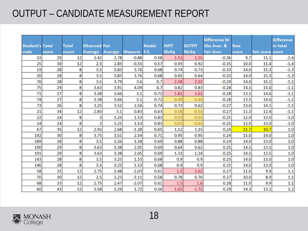## OUTPUT – CANDIDATE MEASUREMENT REPORT

| <b>Student's Total</b> |       | Total | <b>Observed Fair</b> |         |                | <b>Model</b> | <b>INFIT</b> | <b>OUTFIT</b> | Difference bt<br>Obs Aver. & | Raw   |                  | <b>Difference</b><br>in total |
|------------------------|-------|-------|----------------------|---------|----------------|--------------|--------------|---------------|------------------------------|-------|------------------|-------------------------------|
| code                   | score | count | <b>Average</b>       | Average | <b>Measure</b> | <b>S.E.</b>  | <b>MnSq</b>  | <b>MnSq</b>   | Fair Aver.                   | score | Fair score score |                               |
| 23                     | 29    | 12    | 2.42                 | 2.78    | $-0.88$        | 0.58         | 1.52         | 1.55          | $-0.36$                      | 9.7   | 11.1             | $-1.4$                        |
| 25                     | 30    | 12    | 2.5                  | 2.85    | $-0.55$        | 0.57         | 0.93         | 0.92          | $-0.35$                      | 10.0  | 11.4             | $-1.4$                        |
| 19                     | 28    | 8     | 3.5                  | 3.83    | 3.76           | 0.68         | 0.74         | 0.73          | $-0.33$                      | 14.0  | 15.3             | $-1.3$                        |
| 20                     | 28    | 8     | 3.5                  | 3.83    | 3.76           | 0.68         | 0.65         | 0.64          | $-0.33$                      | 14.0  | 15.3             | $-1.3$                        |
| 76                     | 28    | 8     | 3.5                  | 3.79    | 3.6            | 0.7          | 2.08         | 2.02          | $-0.29$                      | 14.0  | 15.2             | $-1.2$                        |
| 75                     | 29    | 8     | 3.63                 | 3.91    | 4.09           | 0.7          | 0.82         | 0.83          | $-0.28$                      | 14.5  | 15.6             | $-1.1$                        |
| 71                     | 27    | 8     | 3.38                 | 3.66    | 3.1            | 0.72         | 1.81         | 1.61          | $-0.28$                      | 13.5  | 14.6             | $-1.1$                        |
| 74                     | 27    | 8     | 3.38                 | 3.66    | 3.1            | 0.72         | 0.49         | 0.44          | $-0.28$                      | 13.5  | 14.6             | $-1.1$                        |
| 73                     | 26    | 8     | 3.25                 | 3.52    | 2.56           | 0.74         | 0.73         | 0.62          | $-0.27$                      | 13.0  | 14.1             | $-1.1$                        |
| 21                     | 34    | 12    | 2.83                 | 3.1     | 0.83           | 0.63         | 0.58         | 0.55          | $-0.27$                      | 11.3  | 12.4             | $-1.1$                        |
| 22                     | 24    | 8     | 3                    | 3.25    | 1.53           | 0.83         | 0.03         | 0.03          | $-0.25$                      | 12.0  | 13.0             | $-1.0$                        |
| 24                     | 24    | 8     | 3                    | 3.25    | 1.53           | 0.83         | 0.03         | 0.03          | $-0.25$                      | 12.0  | 13.0             | $-1.0$                        |
| 67                     | 35    | 12    | 2.92                 | 2.68    | $-1.28$        | 0.65         | 1.12         | 1.15          | 0.24                         | 11.7  | 10.7             | 1.0                           |
| 192                    | 30    | 8     | 3.75                 | 3.51    | 2.54           | 0.71         | 0.95         | 0.95          | 0.24                         | 15.0  | 14.0             | 1.0                           |
| 189                    | 28    | 8     | 3.5                  | 3.26    | 1.58           | 0.69         | 0.88         | 0.88          | 0.24                         | 14.0  | 13.0             | 1.0                           |
| 190                    | 29    | 8     | 3.63                 | 3.38    | 2.05           | 0.69         | 0.64         | 0.62          | 0.25                         | 14.5  | 13.5             | $1.0\,$                       |
| 191                    | 29    | 8     | 3.63                 | 3.38    | 2.05           | 0.69         | 1.33         | 1.34          | 0.25                         | 14.5  | 13.5             | 1.0                           |
| 143                    | 28    | 8     | 3.5                  | 3.25    | 1.53           | 0.68         | 0.9          | 0.9           | 0.25                         | 14.0  | 13.0             | 1.0                           |
| 146                    | 28    | 8     | 3.5                  | 3.25    | 1.53           | 0.68         | 0.9          | 0.9           | 0.25                         | 14.0  | 13.0             | 1.0                           |
| 58                     | 33    | 12    | 2.75                 | 2.48    | $-2.03$        | 0.61         | 1.5          | 1.62          | 0.27                         | 11.0  | 9.9              | $1.1\,$                       |
| 70                     | 30    | 12    | 2.5                  | 2.23    | $-3.11$        | 0.58         | 0.78         | 0.76          | 0.27                         | 10.0  | 8.9              | 1.1                           |
| 68                     | 33    | 12    | 2.75                 | 2.47    | $-2.07$        | 0.61         | 1.5          | 1.6           | 0.28                         | 11.0  | 9.9              | 1.1                           |
| 60                     | 43    | 12    | 3.58                 | 3.29    | 1.72           | 0.56         | 1.65         | 1.72          | 0.29                         | 14.3  | 13.2             | 1.2                           |

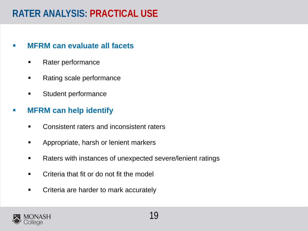## **RATER ANALYSIS: PRACTICAL USE**

#### **MFRM can evaluate all facets**

- **Rater performance**
- Rating scale performance
- **EXECUTE:** Student performance

### **MFRM can help identify**

- **EXECONS** Consistent raters and inconsistent raters
- **Appropriate, harsh or lenient markers**
- **Raters with instances of unexpected severe/lenient ratings**
- **EXEC** Criteria that fit or do not fit the model
- **EXED:** Criteria are harder to mark accurately

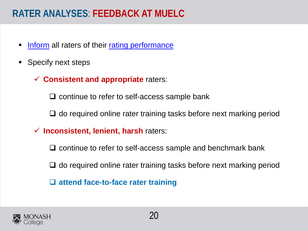## **RATER ANALYSES**: **FEEDBACK AT MUELC**

- Inform all raters of their rating performance
- Specify next steps
	- **Consistent and appropriate** raters:

 $\Box$  continue to refer to self-access sample bank

 $\Box$  do required online rater training tasks before next marking period

**Inconsistent, lenient, harsh** raters:

 $\Box$  continue to refer to self-access sample and benchmark bank

 $\Box$  do required online rater training tasks before next marking period

**attend face-to-face rater training**

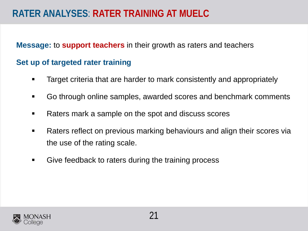## **RATER ANALYSES**: **RATER TRAINING AT MUELC**

**Message:** to **support teachers** in their growth as raters and teachers

### **Set up of targeted rater training**

- Target criteria that are harder to mark consistently and appropriately
- Go through online samples, awarded scores and benchmark comments
- Raters mark a sample on the spot and discuss scores
- Raters reflect on previous marking behaviours and align their scores via the use of the rating scale.
- **Give feedback to raters during the training process**

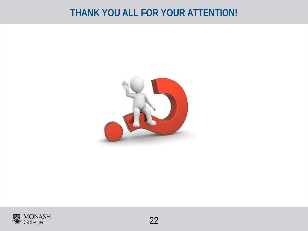## **THANK YOU ALL FOR YOUR ATTENTION!**